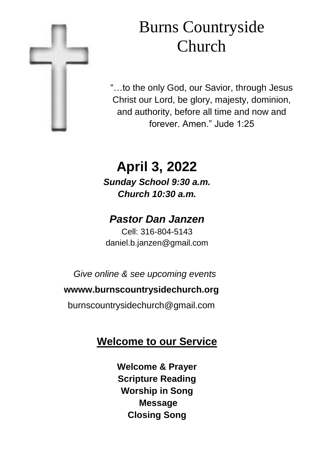

# Burns Countryside Church

"…to the only God, our Savior, through Jesus Christ our Lord, be glory, majesty, dominion, and authority, before all time and now and forever. Amen." Jude 1:25

# **April 3, 2022** *Sunday School 9:30 a.m. Church 10:30 a.m.*

## *Pastor Dan Janzen*

Cell: 316-804-5143 daniel.b.janzen@gmail.com

*Give online & see upcoming events*

#### **wwww.burnscountrysidechurch.org**

burnscountrysidechurch@gmail.com

## **Welcome to our Service**

**Welcome & Prayer Scripture Reading Worship in Song Message Closing Song**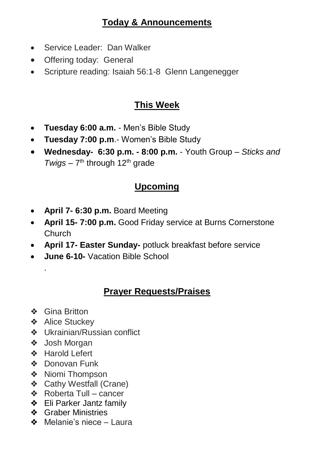#### **Today & Announcements**

- Service Leader: Dan Walker
- Offering today: General
- Scripture reading: Isaiah 56:1-8 Glenn Langenegger

#### **This Week**

- **Tuesday 6:00 a.m.**  Men's Bible Study
- **Tuesday 7:00 p.m**.- Women's Bible Study
- **Wednesday- 6:30 p.m. - 8:00 p.m.**  Youth Group *Sticks and*  Twigs – 7<sup>th</sup> through 12<sup>th</sup> grade

#### **Upcoming**

- **April 7- 6:30 p.m.** Board Meeting
- **April 15- 7:00 p.m.** Good Friday service at Burns Cornerstone Church
- **April 17- Easter Sunday-** potluck breakfast before service
- **June 6-10-** Vacation Bible School

#### **Prayer Requests/Praises**

❖ Gina Britton

.

- ❖ Alice Stuckey
- ❖ Ukrainian/Russian conflict
- ❖ Josh Morgan
- ❖ Harold Lefert
- ❖ Donovan Funk
- ❖ Niomi Thompson
- ❖ Cathy Westfall (Crane)
- ❖ Roberta Tull cancer
- ❖ Eli Parker Jantz family
- ❖ Graber Ministries
- ❖ Melanie's niece Laura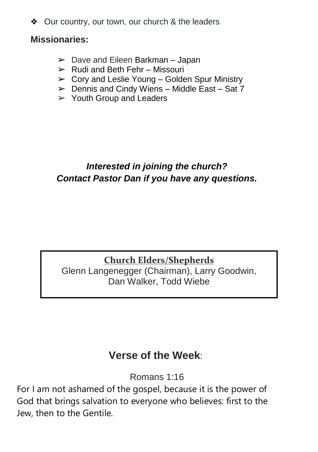❖ Our country, our town, our church & the leaders

#### **Missionaries:**

- $\geq$  Dave and Eileen Barkman Japan
- $\triangleright$  Rudi and Beth Fehr Missouri
- $\triangleright$  Cory and Leslie Young Golden Spur Ministry
- $\triangleright$  Dennis and Cindy Wiens Middle East Sat 7
- $\geq$  Youth Group and Leaders

#### *Interested in joining the church? Contact Pastor Dan if you have any questions.*

#### **Church Elders/Shepherds**

Glenn Langenegger (Chairman), Larry Goodwin, Dan Walker, Todd Wiebe

## **Verse of the Week**:

Romans 1:16

For I am not ashamed of the gospel, because it is the power of God that brings salvation to everyone who believes: first to the Jew, then to the Gentile.